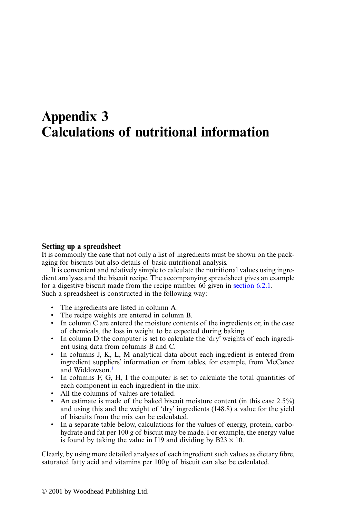## **Appendix 3 Calculations of nutritional information**

## **Setting up a spreadsheet**

It is commonly the case that not only a list of ingredients must be shown on the packaging for biscuits but also details of basic nutritional analysis.

It is convenient and relatively simple to calculate the nutritional values using ingredient analyses and the biscuit recipe. The accompanying sprea[dsheet gives an ex](#page-4-0)ample for a digestive biscuit made from the recipe number 60 given in section 6.2.1. Such a spreadsheet is constructed in the following way:

- The ingredients are listed in column A.
- The recipe weights are entered in column B.
- In column C are entered the moisture contents of the ingredients or, in the case of chemicals, the loss in weight to be expected during baking.
- In column D the computer is set to calculate the 'dry' weights of each ingredient using data from columns B and C.
- In columns J, K, L, M analytical data about each ingredient is entered from ingredient suppliers' information or from tables, for example, from McCance and Widdowson.<sup>1</sup>
- In columns F, G, H, I the computer is set to calculate the total quantities of each component in each ingredient in the mix.
- All the columns of values are totalled.
- An estimate is made of the baked biscuit moisture content (in this case 2.5%) and using this and the weight of 'dry' ingredients (148.8) a value for the yield of biscuits from the mix can be calculated.
- In a separate table below, calculations for the values of energy, protein, carbohydrate and fat per 100 g of biscuit may be made. For example, the energy value is found by taking the value in I19 and dividing by  $B23 \times 10$ .

Clearly, by using more detailed analyses of each ingredient such values as dietary fibre, saturated fatty acid and vitamins per 100g of biscuit can also be calculated.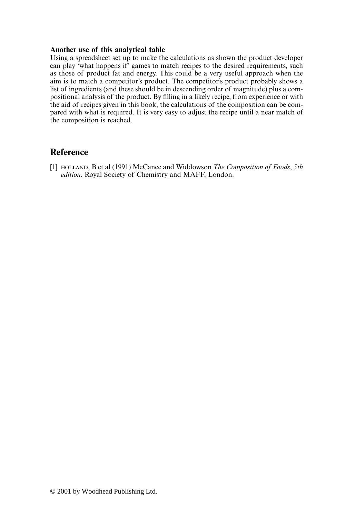## <span id="page-1-0"></span>**Another use of this analytical table**

Using a spreadsheet set up to make the calculations as shown the product developer can play 'what happens if' games to match recipes to the desired requirements, such as those of product fat and energy. This could be a very useful approach when the aim is to match a competitor's product. The competitor's product probably shows a list of ingredients (and these should be in descending order of magnitude) plus a compositional analysis of the product. By filling in a likely recipe, from experience or with the aid of recipes given in this book, the calculations of the composition can be compared with what is required. It is very easy to adjust the recipe until a near match of the composition is reached.

## **Reference**

[1] , B et al (1991) McCance and Widdowson *The Composition of Foods*, *5th edition*. Royal Society of Chemistry and MAFF, London.